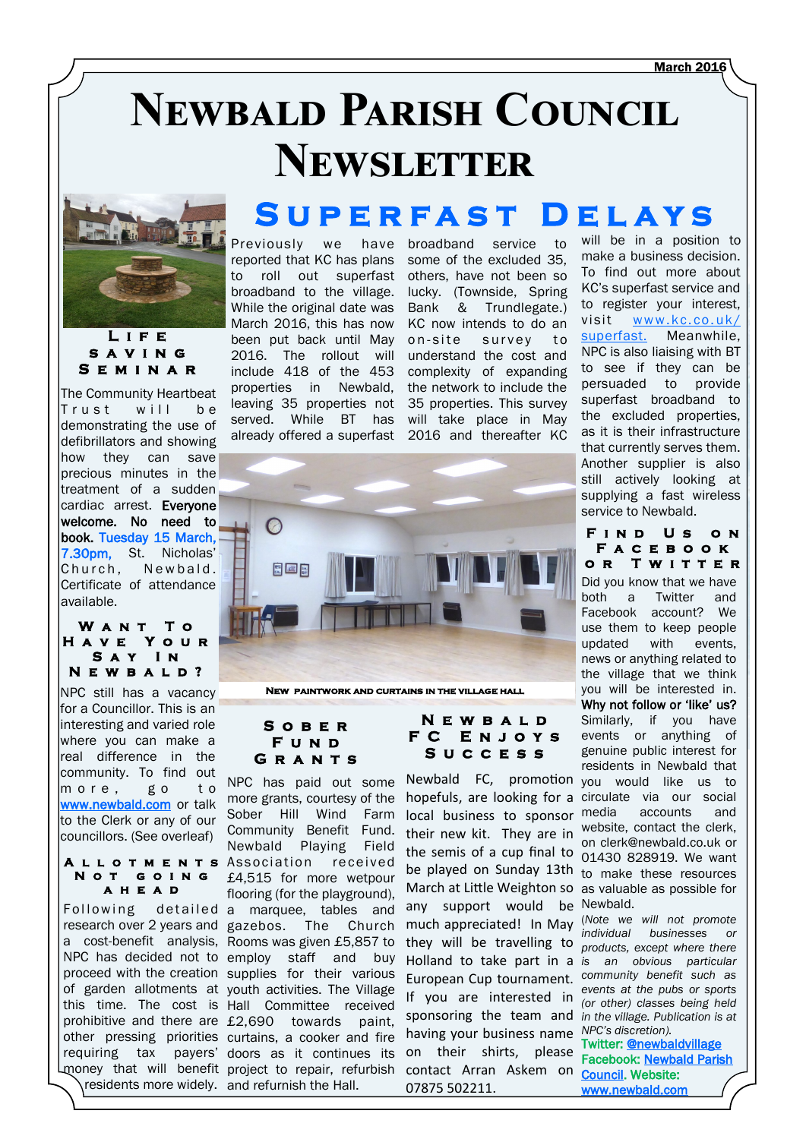# **Newbald Parish Council Newsletter**



**L i f e s a v i n g S e m i n a r** 

The Community Heartbeat Trust will be demonstrating the use of defibrillators and showing how they can save precious minutes in the treatment of a sudden cardiac arrest. Everyone welcome. No need to book. Tuesday 15 March, 7.30pm, St. Nicholas' Church, Newbald, Certificate of attendance available.

#### **W a n t T o H a v e Y o u r S a y I n N e w b a l d ?**

NPC still has a vacancy for a Councillor. This is an interesting and varied role where you can make a real difference in the community. To find out more, go to [www.newbald.com o](http://www.newbald.com)r talk to the Clerk or any of our councillors. (See overleaf)

#### **N o t g o i n g a h e a d**

## **S u p e r f a s t D e l a y s**

Previously we reported that KC has plans<br>to roll out superfast to roll out superfast broadband to the village. While the original date was March 2016, this has now been put back until May 2016. The rollout will include 418 of the 453 properties in Newbald, leaving 35 properties not served. While BT has

have broadband service to some of the excluded 35, others, have not been so lucky. (Townside, Spring Bank & Trundlegate.) KC now intends to do an<br>on-site survey to survey to understand the cost and complexity of expanding the network to include the 35 properties. This survey will take place in May

already offered a superfast 2016 and thereafter KC  $\Omega$ 图画图

**New paintwork and curtains in the village hall**

#### **S o b e r F u n d G r a n t s**

NPC has paid out some more grants, courtesy of the Sober Hill Wind Farm Community Benefit Fund. Newbald Playing Field **ALLOTMENTS** Association received £4,515 for more wetpour flooring (for the playground), Following detailed a marquee, tables and research over 2 years and gazebos. The Church a cost-benefit analysis, Rooms was given £5,857 to NPC has decided not to employ staff and buy proceed with the creation supplies for their various of garden allotments at youth activities. The Village this time. The cost is Hall Committee received prohibitive and there are  $£2,690$  towards paint, other pressing priorities curtains, a cooker and fire requiring tax payers' doors as it continues its money that will benefit project to repair, refurbish  $\setminus$  residents more widely. and refurnish the Hall.

#### **N e w b a l d F C E n j o y s S u c c e s s**

Newbald FC, promotion you would like us to hopefuls, are looking for a circulate via our social the semis of a cup final to  $\frac{61}{01430}$  828919. We want be played on Sunday 13th to make these resources March at Little Weighton so as valuable as possible for any support would be Newbald. much appreciated! In May (Note we will not promote *products, except where there*  they will be travelling to Holland to take part in a *is an obvious particular community benefit such as*  European Cup tournament. If you are interested in *cyclits at the paps of sports* sponsoring the team and in the village. Publication is at having your business name NPC's discretion). contact Arran Askem on [Council.](https://www.facebook.com/newbaldpc) Website: local business to sponsor media their new kit. They are in on their shirts, please 07875 502211.

will be in a position to make a business decision. To find out more about KC's superfast service and to register your interest, visit www.kc.co.uk/ [superfast.](http://www.kc.co.uk/superfast) Meanwhile, NPC is also liaising with BT to see if they can be persuaded to provide superfast broadband to the excluded properties, as it is their infrastructure that currently serves them. Another supplier is also still actively looking at supplying a fast wireless service to Newbald.

**F i n d U s o n** 

**F a c e b o o k OR TWITTER** Did you know that we have both a Twitter and Facebook account? We use them to keep people updated with events, news or anything related to the village that we think you will be interested in. Why not follow or 'like' us? Similarly, if you have events or anything of genuine public interest for residents in Newbald that accounts and website, contact the clerk, on clerk@newbald.co.uk or

*individual businesses or events at the pubs or sports* 

Twitter: **[@newbaldvillage](https://twitter.com/newbaldvillage)** Facebook: [Newbald Parish](https://www.facebook.com/newbaldpc)  [www.newbald.com](http://www.newbald.com)